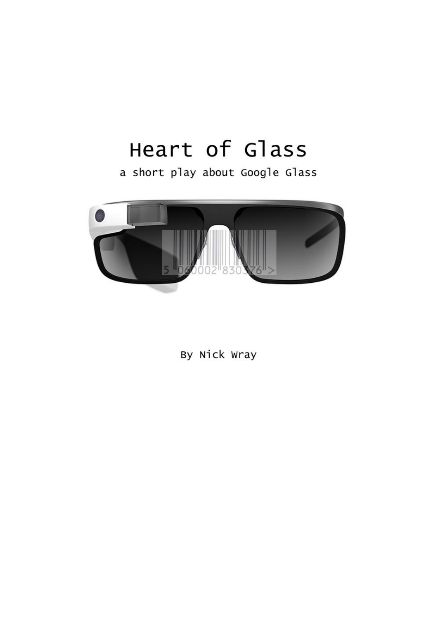# Heart of Glass

a short play about Google Glass



By Nick Wray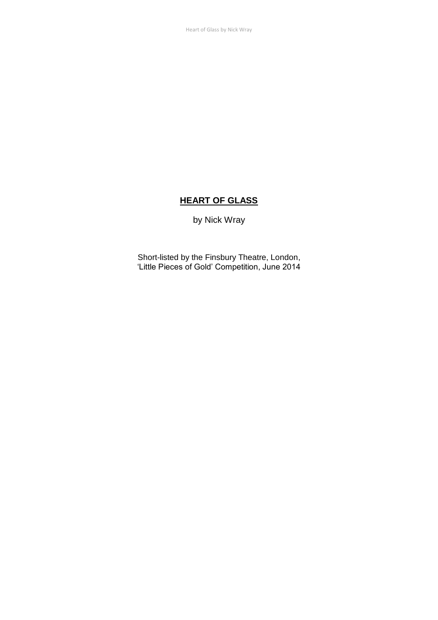### **HEART OF GLASS**

by Nick Wray

Short-listed by the Finsbury Theatre, London, 'Little Pieces of Gold' Competition, June 2014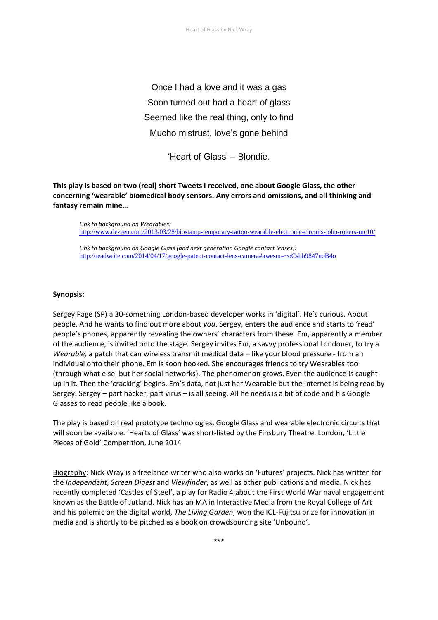Once I had a love and it was a gas Soon turned out had a heart of glass Seemed like the real thing, only to find Mucho mistrust, love's gone behind

'Heart of Glass' – Blondie.

**This play is based on two (real) short Tweets I received, one about Google Glass, the other concerning 'wearable' biomedical body sensors. Any errors and omissions, and all thinking and fantasy remain mine…**

*Link to background on Wearables:*  http://www.dezeen.com/2013/03/28/biostamp-temporary-tattoo-wearable-electronic-circuits-john-rogers-mc10/

*Link to background on Google Glass (and next generation Google contact lenses):*  http://readwrite.com/2014/04/17/google-patent-contact-lens-camera#awesm=~oCsbh9847noB4o

#### **Synopsis:**

Sergey Page (SP) a 30-something London-based developer works in 'digital'. He's curious. About people. And he wants to find out more about *you*. Sergey, enters the audience and starts to 'read' people's phones, apparently revealing the owners' characters from these. Em, apparently a member of the audience, is invited onto the stage. Sergey invites Em, a savvy professional Londoner, to try a *Wearable,* a patch that can wireless transmit medical data – like your blood pressure - from an individual onto their phone. Em is soon hooked. She encourages friends to try Wearables too (through what else, but her social networks). The phenomenon grows. Even the audience is caught up in it. Then the 'cracking' begins. Em's data, not just her Wearable but the internet is being read by Sergey. Sergey – part hacker, part virus – is all seeing. All he needs is a bit of code and his Google Glasses to read people like a book.

The play is based on real prototype technologies, Google Glass and wearable electronic circuits that will soon be available. 'Hearts of Glass' was short-listed by the Finsbury Theatre, London, 'Little Pieces of Gold' Competition, June 2014

Biography: Nick Wray is a freelance writer who also works on 'Futures' projects. Nick has written for the *Independent*, *Screen Digest* and *Viewfinder*, as well as other publications and media. Nick has recently completed 'Castles of Steel', a play for Radio 4 about the First World War naval engagement known as the Battle of Jutland. Nick has an MA in Interactive Media from the Royal College of Art and his polemic on the digital world, *The Living Garden*, won the ICL-Fujitsu prize for innovation in media and is shortly to be pitched as a book on crowdsourcing site 'Unbound'.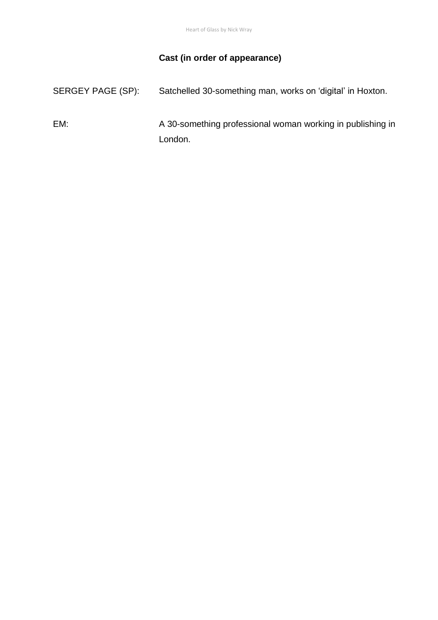# **Cast (in order of appearance)**

| SERGEY PAGE (SP): | Satchelled 30-something man, works on 'digital' in Hoxton. |
|-------------------|------------------------------------------------------------|
| EM:               | A 30-something professional woman working in publishing in |
|                   | London.                                                    |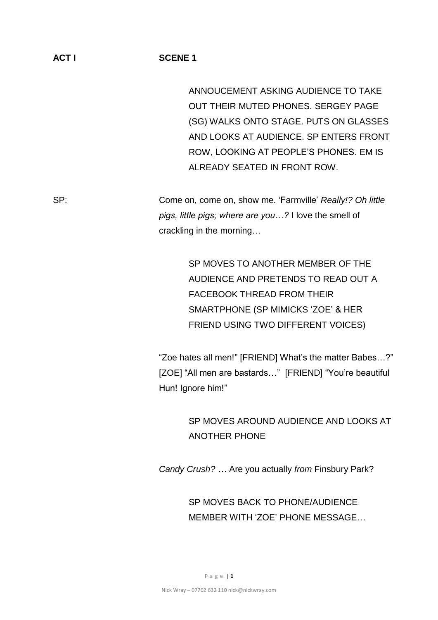ANNOUCEMENT ASKING AUDIENCE TO TAKE OUT THEIR MUTED PHONES. SERGEY PAGE (SG) WALKS ONTO STAGE. PUTS ON GLASSES AND LOOKS AT AUDIENCE. SP ENTERS FRONT ROW, LOOKING AT PEOPLE'S PHONES. EM IS ALREADY SEATED IN FRONT ROW.

SP: Come on, come on, show me. 'Farmville' *Really!? Oh little pigs, little pigs; where are you…?* I love the smell of crackling in the morning…

> SP MOVES TO ANOTHER MEMBER OF THE AUDIENCE AND PRETENDS TO READ OUT A FACEBOOK THREAD FROM THEIR SMARTPHONE (SP MIMICKS 'ZOE' & HER FRIEND USING TWO DIFFERENT VOICES)

"Zoe hates all men!" [FRIEND] What's the matter Babes…?" [ZOE] "All men are bastards…" [FRIEND] "You're beautiful Hun! Ignore him!"

> SP MOVES AROUND AUDIENCE AND LOOKS AT ANOTHER PHONE

*Candy Crush? …* Are you actually *from* Finsbury Park?

SP MOVES BACK TO PHONE/AUDIENCE MEMBER WITH 'ZOE' PHONE MESSAGE…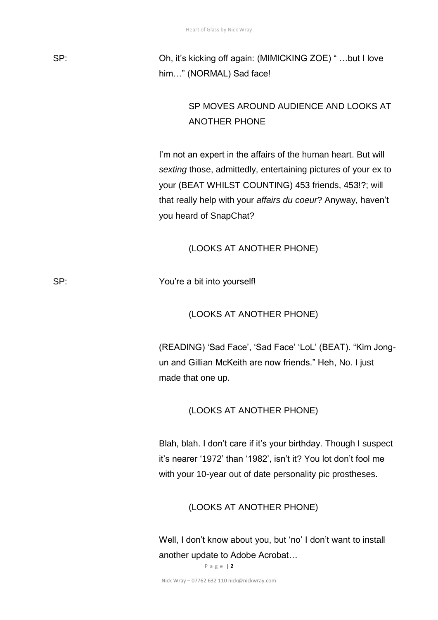SP: Oh, it's kicking off again: (MIMICKING ZOE) " …but I love him…" (NORMAL) Sad face!

# SP MOVES AROUND AUDIENCE AND LOOKS AT ANOTHER PHONE

I'm not an expert in the affairs of the human heart. But will *sexting* those, admittedly, entertaining pictures of your ex to your (BEAT WHILST COUNTING) 453 friends, 453!?; will that really help with your *affairs du coeur*? Anyway, haven't you heard of SnapChat?

(LOOKS AT ANOTHER PHONE)

SP: You're a bit into yourself!

#### (LOOKS AT ANOTHER PHONE)

(READING) 'Sad Face', 'Sad Face' 'LoL' (BEAT). "Kim Jongun and Gillian McKeith are now friends." Heh, No. I just made that one up.

(LOOKS AT ANOTHER PHONE)

Blah, blah. I don't care if it's your birthday. Though I suspect it's nearer '1972' than '1982', isn't it? You lot don't fool me with your 10-year out of date personality pic prostheses.

#### (LOOKS AT ANOTHER PHONE)

Well, I don't know about you, but 'no' I don't want to install another update to Adobe Acrobat…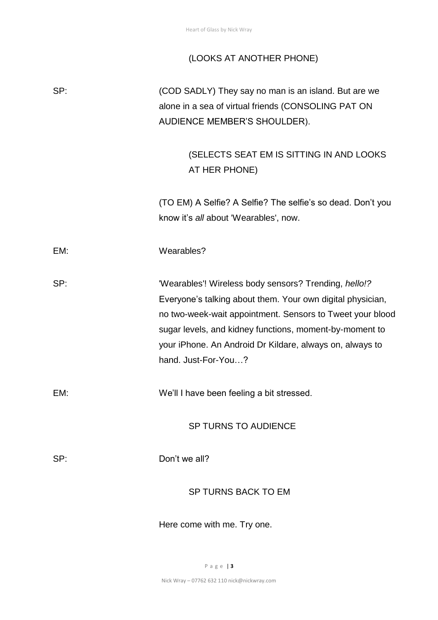# (LOOKS AT ANOTHER PHONE)

| SP: | (COD SADLY) They say no man is an island. But are we<br>alone in a sea of virtual friends (CONSOLING PAT ON<br>AUDIENCE MEMBER'S SHOULDER).                                                                                                                                                                                    |
|-----|--------------------------------------------------------------------------------------------------------------------------------------------------------------------------------------------------------------------------------------------------------------------------------------------------------------------------------|
|     | (SELECTS SEAT EM IS SITTING IN AND LOOKS<br>AT HER PHONE)                                                                                                                                                                                                                                                                      |
|     | (TO EM) A Selfie? A Selfie? The selfie's so dead. Don't you<br>know it's all about 'Wearables', now.                                                                                                                                                                                                                           |
| EM: | Wearables?                                                                                                                                                                                                                                                                                                                     |
| SP: | 'Wearables'! Wireless body sensors? Trending, hello!?<br>Everyone's talking about them. Your own digital physician,<br>no two-week-wait appointment. Sensors to Tweet your blood<br>sugar levels, and kidney functions, moment-by-moment to<br>your iPhone. An Android Dr Kildare, always on, always to<br>hand. Just-For-You? |
| EM: | We'll I have been feeling a bit stressed.                                                                                                                                                                                                                                                                                      |
|     | <b>SP TURNS TO AUDIENCE</b>                                                                                                                                                                                                                                                                                                    |
| SP: | Don't we all?                                                                                                                                                                                                                                                                                                                  |
|     | <b>SP TURNS BACK TO EM</b>                                                                                                                                                                                                                                                                                                     |
|     | Here come with me. Try one.                                                                                                                                                                                                                                                                                                    |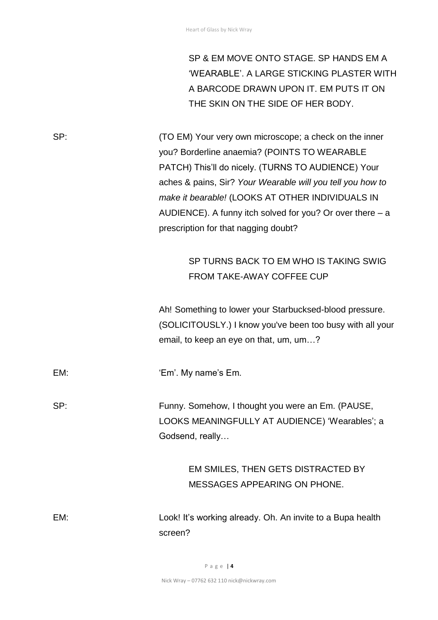SP & EM MOVE ONTO STAGE. SP HANDS EM A 'WEARABLE'. A LARGE STICKING PLASTER WITH A BARCODE DRAWN UPON IT. EM PUTS IT ON THE SKIN ON THE SIDE OF HER BODY.

SP: (TO EM) Your very own microscope; a check on the inner you? Borderline anaemia? (POINTS TO WEARABLE PATCH) This'll do nicely. (TURNS TO AUDIENCE) Your aches & pains, Sir? *Your Wearable will you tell you how to make it bearable!* (LOOKS AT OTHER INDIVIDUALS IN AUDIENCE). A funny itch solved for you? Or over there – a prescription for that nagging doubt?

## SP TURNS BACK TO EM WHO IS TAKING SWIG FROM TAKE-AWAY COFFEE CUP

Ah! Something to lower your Starbucksed-blood pressure. (SOLICITOUSLY.) I know you've been too busy with all your email, to keep an eye on that, um, um…?

EM: 'Em'. My name's Em.

SP: Funny. Somehow, I thought you were an Em. (PAUSE, LOOKS MEANINGFULLY AT AUDIENCE) 'Wearables'; a

> EM SMILES, THEN GETS DISTRACTED BY MESSAGES APPEARING ON PHONE.

EM: Look! It's working already. Oh. An invite to a Bupa health screen?

Godsend, really…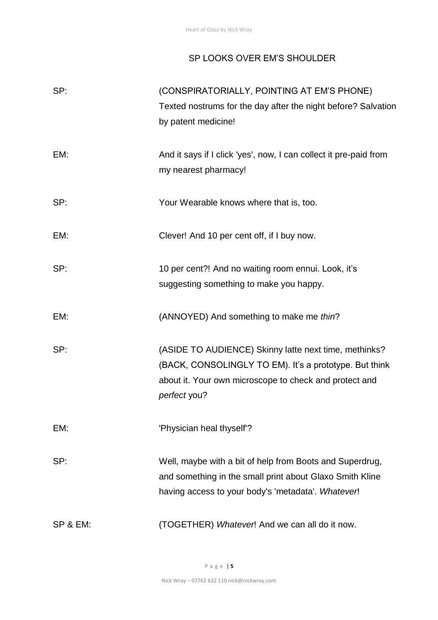#### SP LOOKS OVER EM'S SHOULDER

| SP:      | (CONSPIRATORIALLY, POINTING AT EM'S PHONE)<br>Texted nostrums for the day after the night before? Salvation<br>by patent medicine!                                                        |
|----------|-------------------------------------------------------------------------------------------------------------------------------------------------------------------------------------------|
| EM:      | And it says if I click 'yes', now, I can collect it pre-paid from<br>my nearest pharmacy!                                                                                                 |
| SP:      | Your Wearable knows where that is, too.                                                                                                                                                   |
| EM:      | Clever! And 10 per cent off, if I buy now.                                                                                                                                                |
| SP:      | 10 per cent?! And no waiting room ennui. Look, it's<br>suggesting something to make you happy.                                                                                            |
| EM:      | (ANNOYED) And something to make me thin?                                                                                                                                                  |
| SP:      | (ASIDE TO AUDIENCE) Skinny latte next time, methinks?<br>(BACK, CONSOLINGLY TO EM). It's a prototype. But think<br>about it. Your own microscope to check and protect and<br>perfect you? |
| EM:      | 'Physician heal thyself'?                                                                                                                                                                 |
| SP:      | Well, maybe with a bit of help from Boots and Superdrug,<br>and something in the small print about Glaxo Smith Kline<br>having access to your body's 'metadata'. Whatever!                |
| SP & EM: | (TOGETHER) Whatever! And we can all do it now.                                                                                                                                            |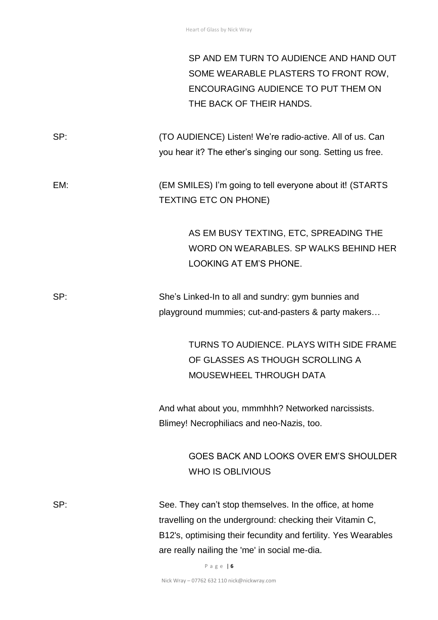SP AND EM TURN TO AUDIENCE AND HAND OUT SOME WEARABLE PLASTERS TO FRONT ROW, ENCOURAGING AUDIENCE TO PUT THEM ON THE BACK OF THEIR HANDS.

SP: (TO AUDIENCE) Listen! We're radio-active. All of us. Can you hear it? The ether's singing our song. Setting us free.

EM: (EM SMILES) I'm going to tell everyone about it! (STARTS TEXTING ETC ON PHONE)

> AS EM BUSY TEXTING, ETC, SPREADING THE WORD ON WEARABLES. SP WALKS BEHIND HER LOOKING AT EM'S PHONE.

SP: She's Linked-In to all and sundry: gym bunnies and playground mummies; cut-and-pasters & party makers…

> TURNS TO AUDIENCE. PLAYS WITH SIDE FRAME OF GLASSES AS THOUGH SCROLLING A MOUSEWHEEL THROUGH DATA

And what about you, mmmhhh? Networked narcissists. Blimey! Necrophiliacs and neo-Nazis, too.

> GOES BACK AND LOOKS OVER EM'S SHOULDER WHO IS OBLIVIOUS

SP: See. They can't stop themselves. In the office, at home travelling on the underground: checking their Vitamin C, B12's, optimising their fecundity and fertility. Yes Wearables are really nailing the 'me' in social me-dia.

P a g e | **6**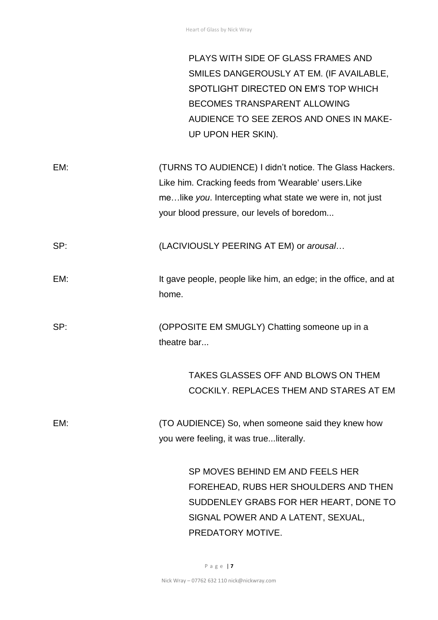PLAYS WITH SIDE OF GLASS FRAMES AND SMILES DANGEROUSLY AT EM. (IF AVAILABLE, SPOTLIGHT DIRECTED ON EM'S TOP WHICH BECOMES TRANSPARENT ALLOWING AUDIENCE TO SEE ZEROS AND ONES IN MAKE-UP UPON HER SKIN).

EM: (TURNS TO AUDIENCE) I didn't notice. The Glass Hackers. Like him. Cracking feeds from 'Wearable' users.Like me…like *you*. Intercepting what state we were in, not just your blood pressure, our levels of boredom...

SP: (LACIVIOUSLY PEERING AT EM) or *arousal*…

EM: It gave people, people like him, an edge; in the office, and at home.

SP: (OPPOSITE EM SMUGLY) Chatting someone up in a theatre bar...

> TAKES GLASSES OFF AND BLOWS ON THEM COCKILY. REPLACES THEM AND STARES AT EM

EM: (TO AUDIENCE) So, when someone said they knew how you were feeling, it was true...literally.

> SP MOVES BEHIND EM AND FEELS HER FOREHEAD, RUBS HER SHOULDERS AND THEN SUDDENLEY GRABS FOR HER HEART, DONE TO SIGNAL POWER AND A LATENT, SEXUAL, PREDATORY MOTIVE.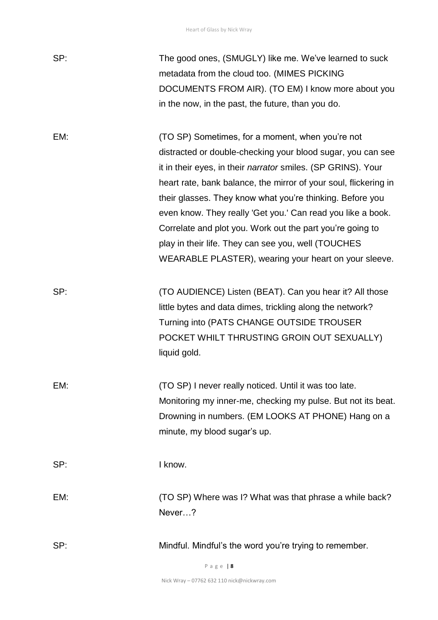| SP: | The good ones, (SMUGLY) like me. We've learned to suck<br>metadata from the cloud too. (MIMES PICKING<br>DOCUMENTS FROM AIR). (TO EM) I know more about you<br>in the now, in the past, the future, than you do.                                                                                                                                                                                                                                                                                                                                                    |
|-----|---------------------------------------------------------------------------------------------------------------------------------------------------------------------------------------------------------------------------------------------------------------------------------------------------------------------------------------------------------------------------------------------------------------------------------------------------------------------------------------------------------------------------------------------------------------------|
| EM: | (TO SP) Sometimes, for a moment, when you're not<br>distracted or double-checking your blood sugar, you can see<br>it in their eyes, in their <i>narrator</i> smiles. (SP GRINS). Your<br>heart rate, bank balance, the mirror of your soul, flickering in<br>their glasses. They know what you're thinking. Before you<br>even know. They really 'Get you.' Can read you like a book.<br>Correlate and plot you. Work out the part you're going to<br>play in their life. They can see you, well (TOUCHES<br>WEARABLE PLASTER), wearing your heart on your sleeve. |
| SP: | (TO AUDIENCE) Listen (BEAT). Can you hear it? All those<br>little bytes and data dimes, trickling along the network?<br>Turning into (PATS CHANGE OUTSIDE TROUSER<br>POCKET WHILT THRUSTING GROIN OUT SEXUALLY)<br>liquid gold.                                                                                                                                                                                                                                                                                                                                     |
| EM: | (TO SP) I never really noticed. Until it was too late.<br>Monitoring my inner-me, checking my pulse. But not its beat.<br>Drowning in numbers. (EM LOOKS AT PHONE) Hang on a<br>minute, my blood sugar's up.                                                                                                                                                                                                                                                                                                                                                        |
| SP: | I know.                                                                                                                                                                                                                                                                                                                                                                                                                                                                                                                                                             |
| EM: | (TO SP) Where was I? What was that phrase a while back?<br>Never?                                                                                                                                                                                                                                                                                                                                                                                                                                                                                                   |
| SP: | Mindful. Mindful's the word you're trying to remember.                                                                                                                                                                                                                                                                                                                                                                                                                                                                                                              |